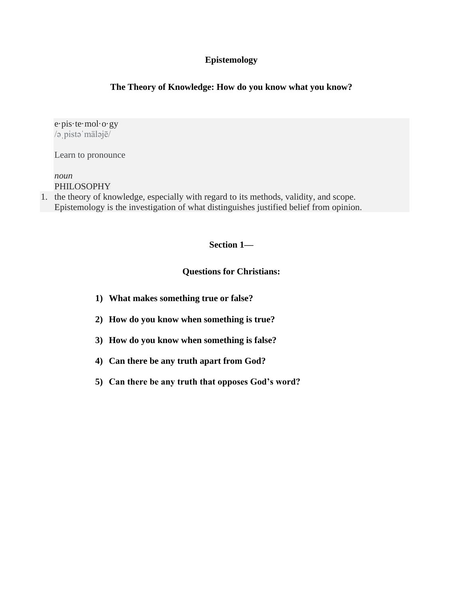# **Epistemology**

## **The Theory of Knowledge: How do you know what you know?**

e·pis·te·mol·o·gy /əˌpistəˈmäləjē/

[Learn to pronounce](https://www.google.com/search?sxsrf=ALeKk018bk0Ig9S0DBz4fn_45uMdpWjQBw:1592602000131&q=how+to+pronounce+epistemology&stick=H4sIAAAAAAAAAOMIfcRoxy3w8sc9YSnTSWtOXmPU5-INKMrPK81LzkwsyczPE5LgYglJLcoVEpDi4-JJLcgsLknNzc_JT6-0YlFiSs3jWcQqm5FfrlCSr1AA1JcP1JiqgKwMAJc890ljAAAA&pron_lang=en&pron_country=us&sa=X&ved=2ahUKEwiAyvHj6I7qAhWVVs0KHd23B2oQ3eEDMAB6BAgDEAg)

*noun* PHILOSOPHY

1. the theory of knowledge, especially with regard to its methods, validity, and scope. Epistemology is the investigation of what distinguishes justified belief from opinion.

### **Section 1—**

### **Questions for Christians:**

- **1) What makes something true or false?**
- **2) How do you know when something is true?**
- **3) How do you know when something is false?**
- **4) Can there be any truth apart from God?**
- **5) Can there be any truth that opposes God's word?**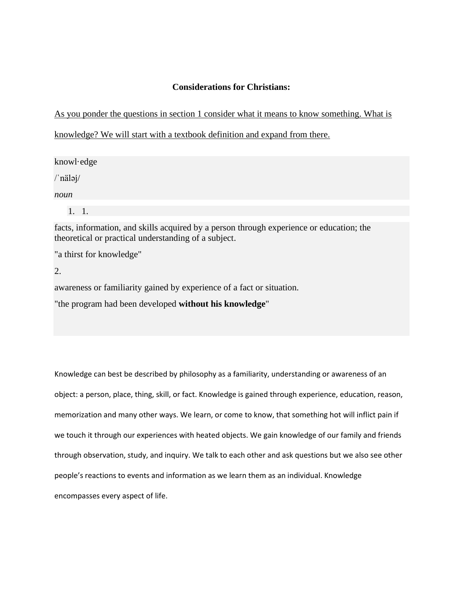## **Considerations for Christians:**

As you ponder the questions in section 1 consider what it means to know something. What is

knowledge? We will start with a textbook definition and expand from there.

knowl·edge

/ˈnäləj/

*noun*

1. 1.

facts, information, and skills acquired by a person through experience or education; the theoretical or practical understanding of a subject.

"a thirst for knowledge"

2.

awareness or familiarity gained by experience of a fact or situation.

"the program had been developed **without his knowledge**"

Knowledge can best be described by philosophy as a familiarity, understanding or awareness of an object: a person, place, thing, skill, or fact. Knowledge is gained through experience, education, reason, memorization and many other ways. We learn, or come to know, that something hot will inflict pain if we touch it through our experiences with heated objects. We gain knowledge of our family and friends through observation, study, and inquiry. We talk to each other and ask questions but we also see other people's reactions to events and information as we learn them as an individual. Knowledge encompasses every aspect of life.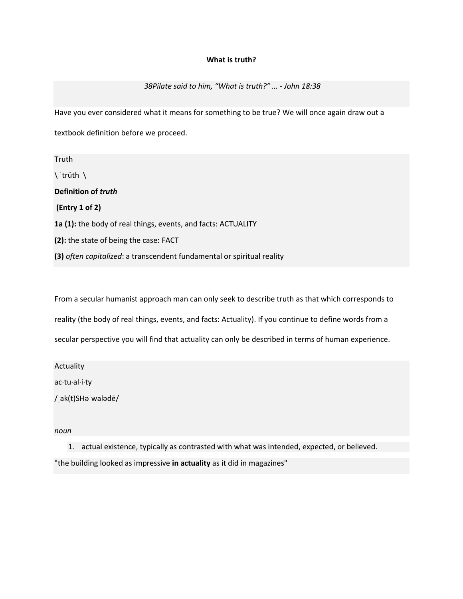### **What is truth?**

*38Pilate said to him, "What is truth?" … - John 18:38*

Have you ever considered what it means for something to be true? We will once again draw out a

textbook definition before we proceed.

Truth \ ˈtrüth \ **Definition of** *truth* **(Entry 1 of 2) 1a (1):** the body of real things, events, and facts: ACTUALITY **(2):** the state of being the case: FACT **(3)** *often capitalized*: a transcendent fundamental or spiritual reality

From a secular humanist approach man can only seek to describe truth as that which corresponds to reality (the body of real things, events, and facts: Actuality). If you continue to define words from a secular perspective you will find that actuality can only be described in terms of human experience.

**Actuality** 

ac·tu·al·i·ty

/ˌak(t)SHəˈwalədē/

*noun*

1. actual existence, typically as contrasted with what was intended, expected, or believed. "the building looked as impressive **in actuality** as it did in magazines"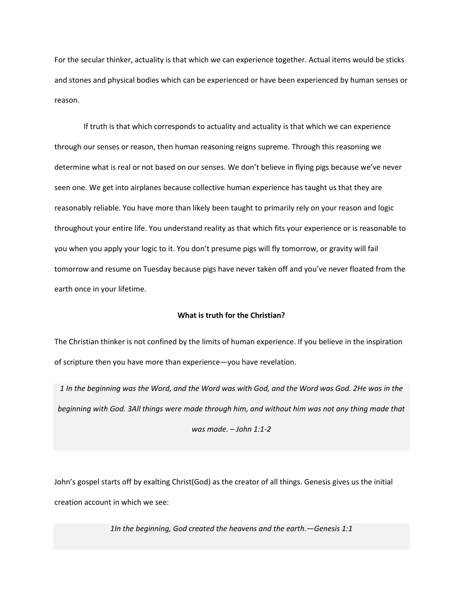For the secular thinker, actuality is that which we can experience together. Actual items would be sticks and stones and physical bodies which can be experienced or have been experienced by human senses or reason.

If truth is that which corresponds to actuality and actuality is that which we can experience through our senses or reason, then human reasoning reigns supreme. Through this reasoning we determine what is real or not based on our senses. We don't believe in flying pigs because we've never seen one. We get into airplanes because collective human experience has taught us that they are reasonably reliable. You have more than likely been taught to primarily rely on your reason and logic throughout your entire life. You understand reality as that which fits your experience or is reasonable to you when you apply your logic to it. You don't presume pigs will fly tomorrow, or gravity will fail tomorrow and resume on Tuesday because pigs have never taken off and you've never floated from the earth once in your lifetime.

#### **What is truth for the Christian?**

The Christian thinker is not confined by the limits of human experience. If you believe in the inspiration of scripture then you have more than experience—you have revelation.

*1 In the beginning was the Word, and the Word was with God, and the Word was God. 2He was in the beginning with God. 3All things were made through him, and without him was not any thing made that was made. – John 1:1-2*

John's gospel starts off by exalting Christ(God) as the creator of all things. Genesis gives us the initial creation account in which we see:

*1In the beginning, God created the heavens and the earth.—Genesis 1:1*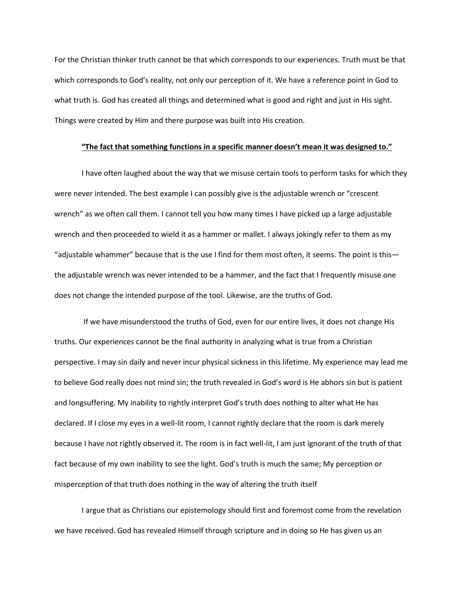For the Christian thinker truth cannot be that which corresponds to our experiences. Truth must be that which corresponds to God's reality, not only our perception of it. We have a reference point in God to what truth is. God has created all things and determined what is good and right and just in His sight. Things were created by Him and there purpose was built into His creation.

#### **"The fact that something functions in a specific manner doesn't mean it was designed to."**

I have often laughed about the way that we misuse certain tools to perform tasks for which they were never intended. The best example I can possibly give is the adjustable wrench or "crescent wrench" as we often call them. I cannot tell you how many times I have picked up a large adjustable wrench and then proceeded to wield it as a hammer or mallet. I always jokingly refer to them as my "adjustable whammer" because that is the use I find for them most often, it seems. The point is this the adjustable wrench was never intended to be a hammer, and the fact that I frequently misuse one does not change the intended purpose of the tool. Likewise, are the truths of God.

If we have misunderstood the truths of God, even for our entire lives, it does not change His truths. Our experiences cannot be the final authority in analyzing what is true from a Christian perspective. I may sin daily and never incur physical sickness in this lifetime. My experience may lead me to believe God really does not mind sin; the truth revealed in God's word is He abhors sin but is patient and longsuffering. My inability to rightly interpret God's truth does nothing to alter what He has declared. If I close my eyes in a well-lit room, I cannot rightly declare that the room is dark merely because I have not rightly observed it. The room is in fact well-lit, I am just ignorant of the truth of that fact because of my own inability to see the light. God's truth is much the same; My perception or misperception of that truth does nothing in the way of altering the truth itself

I argue that as Christians our epistemology should first and foremost come from the revelation we have received. God has revealed Himself through scripture and in doing so He has given us an